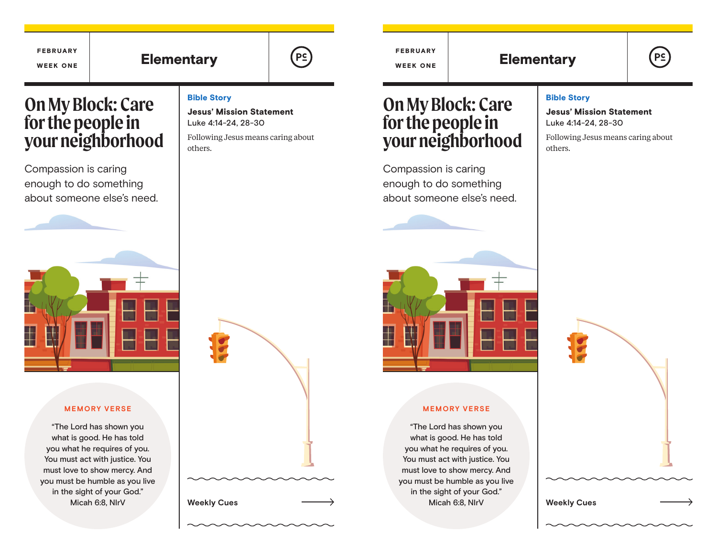

FEBRUARY WEEK ONE

Elementary  $(\mathsf{P}_{\mathsf{S}})$  ( $(\mathsf{P}_{\mathsf{S}})$  Elementary

# **PS**

# **On My Block: Care for the people in your neighborhood**

FEBRUARY WEEK ONE

Compassion is caring enough to do something about someone else's need.



#### **MEMORY VERSE**

"The Lord has shown you what is good. He has told you what he requires of you. You must act with justice. You must love to show mercy. And you must be humble as you live in the sight of your God." Micah 6:8, NIrV

#### Bible Story

Jesus' Mission Statement Luke 4:14-24, 28-30

Following Jesus means caring about others.



# **On My Block: Care for the people in your neighborhood**

Compassion is caring enough to do something about someone else's need.



#### **MEMORY VERSE**

"The Lord has shown you what is good. He has told you what he requires of you. You must act with justice. You must love to show mercy. And you must be humble as you live in the sight of your God." Micah 6:8, NIrV

#### Bible Story

Jesus' Mission Statement Luke 4:14-24, 28-30

Following Jesus means caring about others.